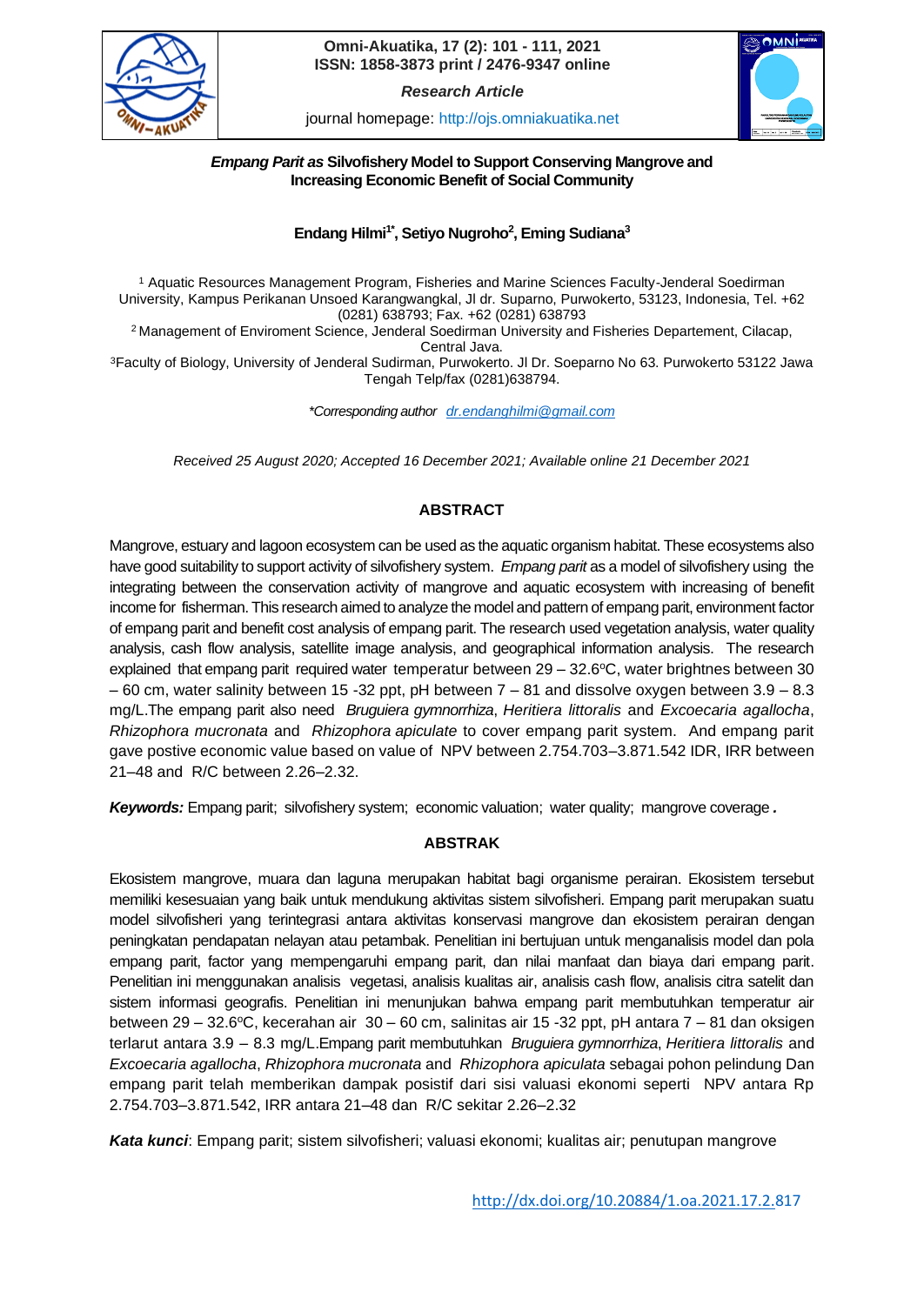

## **ISSN: 1858-3873 print / 2476-9347 online Omni-Akuatika, 17 (2): 101 - 111, 2021**

*Research Article*





## *Empang Parit as* **Silvofishery Model to Support Conserving Mangrove and Increasing Economic Benefit of Social Community**

# **Endang Hilmi1\*, Setiyo Nugroho<sup>2</sup> , Eming Sudiana<sup>3</sup>**

<sup>1</sup> Aquatic Resources Management Program, Fisheries and Marine Sciences Faculty-Jenderal Soedirman University, Kampus Perikanan Unsoed Karangwangkal, Jl dr. Suparno, Purwokerto, 53123, Indonesia, Tel. +62 (0281) 638793; Fax. +62 (0281) 638793

<sup>2</sup> Management of Enviroment Science, Jenderal Soedirman University and Fisheries Departement, Cilacap, Central Java.

<sup>3</sup>Faculty of Biology, University of Jenderal Sudirman, Purwokerto. Jl Dr. Soeparno No 63. Purwokerto 53122 Jawa Tengah Telp/fax (0281)638794.

*\*Corresponding author [dr.endanghilmi@gmail.com](mailto:dr.endanghilmi@gmail.com)*

*Received 25 August 2020; Accepted 16 December 2021; Available online 21 December 2021*

# **ABSTRACT**

Mangrove, estuary and lagoon ecosystem can be used as the aquatic organism habitat. These ecosystems also have good suitability to support activity of silvofishery system. *Empang parit* as a model of silvofishery using the integrating between the conservation activity of mangrove and aquatic ecosystem with increasing of benefit income for fisherman. This research aimed to analyze the model and pattern of empang parit, environment factor of empang parit and benefit cost analysis of empang parit. The research used vegetation analysis, water quality analysis, cash flow analysis, satellite image analysis, and geographical information analysis. The research explained that empang parit required water temperatur between  $29 - 32.6$ °C, water brightnes between 30  $-60$  cm, water salinity between 15 -32 ppt, pH between  $7 - 81$  and dissolve oxygen between  $3.9 - 8.3$ mg/L.The empang parit also need *Bruguiera gymnorrhiza*, *Heritiera littoralis* and *Excoecaria agallocha*, *Rhizophora mucronata* and *Rhizophora apiculate* to cover empang parit system. And empang parit gave postive economic value based on value of NPV between 2.754.703–3.871.542 IDR, IRR between 21–48 and R/C between 2.26–2.32.

*Keywords:* Empang parit; silvofishery system; economic valuation; water quality; mangrove coverage*.*

## **ABSTRAK**

Ekosistem mangrove, muara dan laguna merupakan habitat bagi organisme perairan. Ekosistem tersebut memiliki kesesuaian yang baik untuk mendukung aktivitas sistem silvofisheri. Empang parit merupakan suatu model silvofisheri yang terintegrasi antara aktivitas konservasi mangrove dan ekosistem perairan dengan peningkatan pendapatan nelayan atau petambak. Penelitian ini bertujuan untuk menganalisis model dan pola empang parit, factor yang mempengaruhi empang parit, dan nilai manfaat dan biaya dari empang parit. Penelitian ini menggunakan analisis vegetasi, analisis kualitas air, analisis cash flow, analisis citra satelit dan sistem informasi geografis. Penelitian ini menunjukan bahwa empang parit membutuhkan temperatur air between 29 – 32.6°C, kecerahan air 30 – 60 cm, salinitas air 15 -32 ppt, pH antara 7 – 81 dan oksigen terlarut antara 3.9 – 8.3 mg/L.Empang parit membutuhkan *Bruguiera gymnorrhiza*, *Heritiera littoralis* and *Excoecaria agallocha*, *Rhizophora mucronata* and *Rhizophora apiculata* sebagai pohon pelindung Dan empang parit telah memberikan dampak posistif dari sisi valuasi ekonomi seperti NPV antara Rp 2.754.703–3.871.542, IRR antara 21–48 dan R/C sekitar 2.26–2.32

*Kata kunci*: Empang parit; sistem silvofisheri; valuasi ekonomi; kualitas air; penutupan mangrove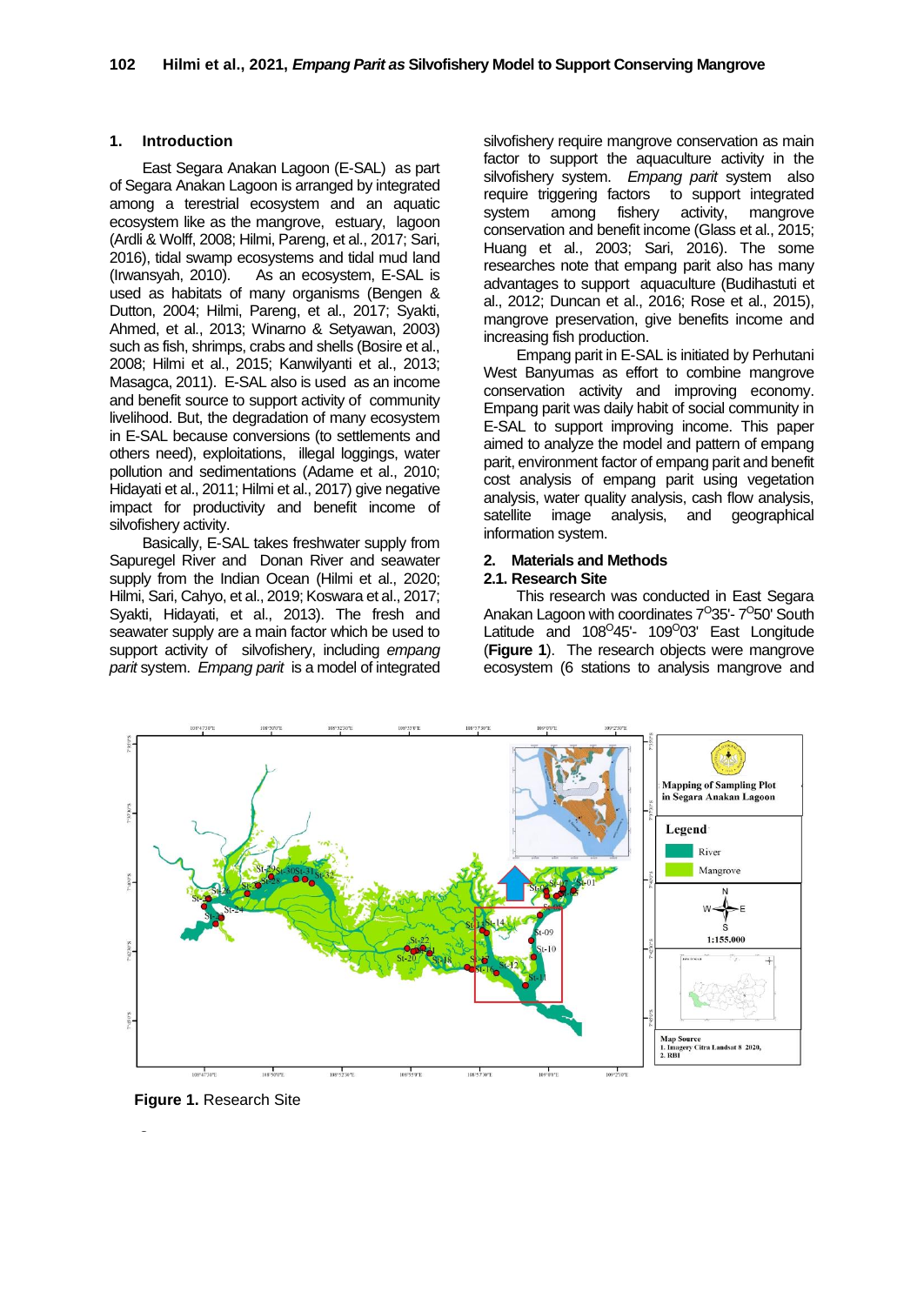## **1. Introduction**

East Segara Anakan Lagoon (E-SAL) as part of Segara Anakan Lagoon is arranged by integrated among a terestrial ecosystem and an aquatic ecosystem like as the mangrove, estuary, lagoon (Ardli & Wolff, 2008; Hilmi, Pareng, et al., 2017; Sari, 2016), tidal swamp ecosystems and tidal mud land (Irwansyah, 2010). As an ecosystem, E-SAL is used as habitats of many organisms (Bengen & Dutton, 2004; Hilmi, Pareng, et al., 2017; Syakti, Ahmed, et al., 2013; Winarno & Setyawan, 2003) such as fish, shrimps, crabs and shells (Bosire et al., 2008; Hilmi et al., 2015; Kanwilyanti et al., 2013; Masagca, 2011). E-SAL also is used as an income and benefit source to support activity of community livelihood. But, the degradation of many ecosystem in E-SAL because conversions (to settlements and others need), exploitations, illegal loggings, water pollution and sedimentations (Adame et al., 2010; Hidayati et al., 2011; Hilmi et al., 2017) give negative impact for productivity and benefit income of silvofishery activity.

Basically, E-SAL takes freshwater supply from Sapuregel River and Donan River and seawater supply from the Indian Ocean (Hilmi et al., 2020; Hilmi, Sari, Cahyo, et al., 2019; Koswara et al., 2017; Syakti, Hidayati, et al., 2013). The fresh and seawater supply are a main factor which be used to support activity of silvofishery, including *empang parit* system. *Empang parit* is a model of integrated silvofishery require mangrove conservation as main factor to support the aquaculture activity in the silvofishery system. *Empang parit* system also require triggering factors to support integrated system among fishery activity, mangrove conservation and benefit income (Glass et al., 2015; Huang et al., 2003; Sari, 2016). The some researches note that empang parit also has many advantages to support aquaculture (Budihastuti et al., 2012; Duncan et al., 2016; Rose et al., 2015), mangrove preservation, give benefits income and increasing fish production.

Empang parit in E-SAL is initiated by Perhutani West Banyumas as effort to combine mangrove conservation activity and improving economy. Empang parit was daily habit of social community in E-SAL to support improving income. This paper aimed to analyze the model and pattern of empang parit, environment factor of empang parit and benefit cost analysis of empang parit using vegetation analysis, water quality analysis, cash flow analysis, satellite image analysis, and geographical information system.

#### **2. Materials and Methods 2.1. Research Site**

This research was conducted in East Segara Anakan Lagoon with coordinates 7<sup>0</sup>35'- 7<sup>0</sup>50' South Latitude and 108<sup>0</sup>45'- 109<sup>0</sup>03' East Longitude (**Figure 1**). The research objects were mangrove ecosystem (6 stations to analysis mangrove and



 **Figure 1.** Research Site

**Figure 1.** Research Site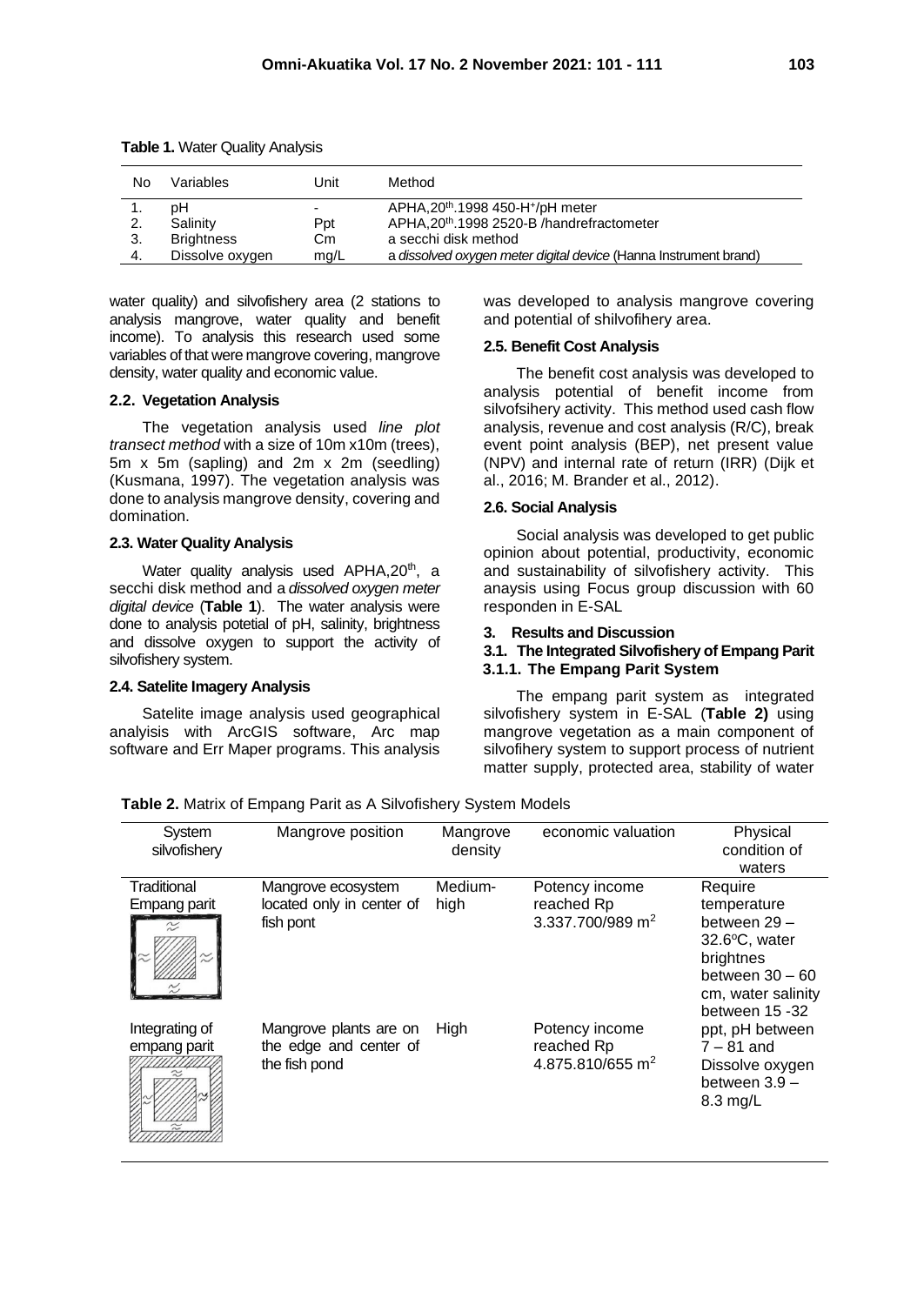| No | Variables         | Unit | Method                                                           |
|----|-------------------|------|------------------------------------------------------------------|
|    | pН                |      | APHA, 20 <sup>th</sup> . 1998 450-H <sup>+</sup> /pH meter       |
| 2. | Salinity          | Ppt  | APHA, 20 <sup>th</sup> . 1998 2520-B / handrefractometer         |
|    | <b>Brightness</b> | Cm   | a secchi disk method                                             |
| 4. | Dissolve oxygen   | mg/L | a dissolved oxygen meter digital device (Hanna Instrument brand) |

| Table 1. Water Quality Analysis |
|---------------------------------|
|---------------------------------|

water quality) and silvofishery area (2 stations to analysis mangrove, water quality and benefit income). To analysis this research used some variables of that were mangrove covering, mangrove density, water quality and economic value.

## **2.2. Vegetation Analysis**

The vegetation analysis used *line plot transect method* with a size of 10m x10m (trees), 5m x 5m (sapling) and 2m x 2m (seedling) (Kusmana, 1997). The vegetation analysis was done to analysis mangrove density, covering and domination.

#### **2.3. Water Quality Analysis**

Water quality analysis used APHA,20<sup>th</sup>, a secchi disk method and a *dissolved oxygen meter digital device* (**Table 1**). The water analysis were done to analysis potetial of pH, salinity, brightness and dissolve oxygen to support the activity of silvofishery system.

#### **2.4. Satelite Imagery Analysis**

Satelite image analysis used geographical analyisis with ArcGIS software, Arc map software and Err Maper programs. This analysis was developed to analysis mangrove covering and potential of shilvofihery area.

### **2.5. Benefit Cost Analysis**

The benefit cost analysis was developed to analysis potential of benefit income from silvofsihery activity. This method used cash flow analysis, revenue and cost analysis (R/C), break event point analysis (BEP), net present value (NPV) and internal rate of return (IRR) (Dijk et al., 2016; M. Brander et al., 2012).

#### **2.6. Social Analysis**

Social analysis was developed to get public opinion about potential, productivity, economic and sustainability of silvofishery activity. This anaysis using Focus group discussion with 60 responden in E-SAL

## **3. Results and Discussion**

#### **3.1. The Integrated Silvofishery of Empang Parit 3.1.1. The Empang Parit System**

The empang parit system as integrated silvofishery system in E-SAL (**Table 2)** using mangrove vegetation as a main component of silvofihery system to support process of nutrient matter supply, protected area, stability of water

| System<br>silvofishery                   | Mangrove position                                                 | Mangrove<br>density | economic valuation                                           | Physical<br>condition of<br>waters                                                                                               |
|------------------------------------------|-------------------------------------------------------------------|---------------------|--------------------------------------------------------------|----------------------------------------------------------------------------------------------------------------------------------|
| Traditional<br>Empang parit<br>$\approx$ | Mangrove ecosystem<br>located only in center of<br>fish pont      | Medium-<br>high     | Potency income<br>reached Rp<br>3.337.700/989 m <sup>2</sup> | Require<br>temperature<br>between 29-<br>32.6°C, water<br>brightnes<br>between $30 - 60$<br>cm, water salinity<br>between 15 -32 |
| Integrating of<br>empang parit           | Mangrove plants are on<br>the edge and center of<br>the fish pond | High                | Potency income<br>reached Rp<br>4.875.810/655 m <sup>2</sup> | ppt, pH between<br>$7 - 81$ and<br>Dissolve oxygen<br>between $3.9 -$<br>8.3 mg/L                                                |

**Table 2.** Matrix of Empang Parit as A Silvofishery System Models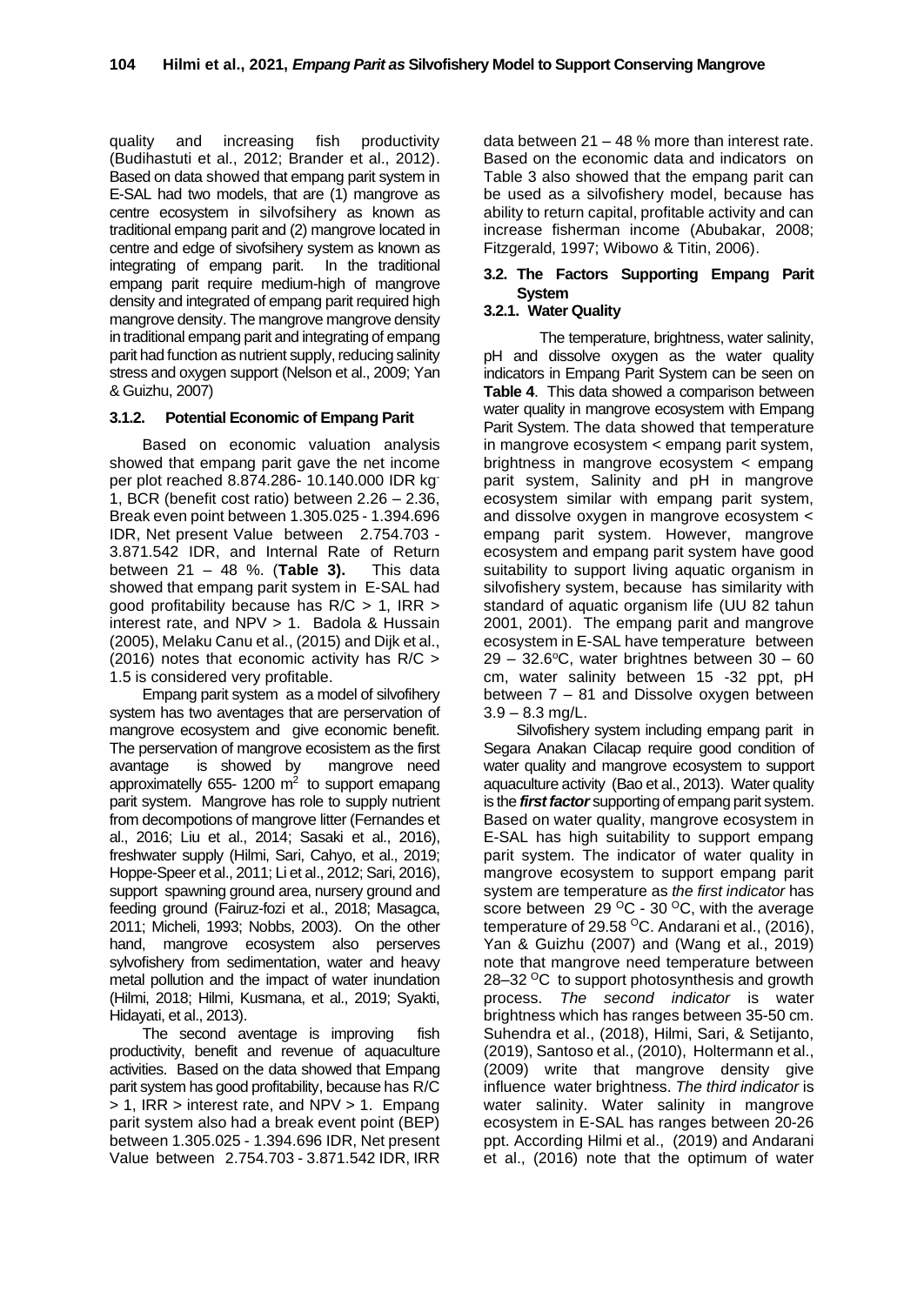quality and increasing fish productivity (Budihastuti et al., 2012; Brander et al., 2012). Based on data showed thatempang parit system in E-SAL had two models, that are (1) mangrove as centre ecosystem in silvofsihery as known as traditional empang parit and (2) mangrovelocated in centre and edge of sivofsihery system as known as<br>integrating of empang parit. In the traditional integrating of empang parit. empang parit require medium-high of mangrove density and integrated of empang parit required high mangrove density. The mangrove mangrove density in traditional empang parit and integrating of empang parit had function as nutrient supply, reducing salinity stress and oxygen support (Nelson et al., 2009; Yan & Guizhu, 2007)

## **3.1.2. Potential Economic of Empang Parit**

Based on economic valuation analysis showed that empang parit gave the net income per plot reached 8.874.286- 10.140.000 IDR kg-1, BCR (benefit cost ratio) between 2.26 – 2.36, Break even point between 1.305.025 - 1.394.696 IDR, Net present Value between 2.754.703 - 3.871.542 IDR, and Internal Rate of Return between 21 – 48 %. (**Table 3).** This data showed that empang parit system in E-SAL had good profitability because has R/C > 1, IRR > interest rate, and NPV > 1. Badola & Hussain (2005), Melaku Canu et al., (2015) and Dijk et al., (2016) notes that economic activity has R/C > 1.5 is considered very profitable.

Empang parit system as a model of silvofihery system has two aventages that are perservation of mangrove ecosystem and give economic benefit. The perservation of mangrove ecosistem as the first avantage is showed by mangrove need approximatelly 655-1200  $m^2$  to support emapang parit system. Mangrove has role to supply nutrient from decompotions of mangrove litter (Fernandes et al., 2016; Liu et al., 2014; Sasaki et al., 2016), freshwater supply (Hilmi, Sari, Cahyo, et al., 2019; Hoppe-Speer et al., 2011; Li et al., 2012; Sari, 2016), support spawning ground area, nursery ground and feeding ground (Fairuz-fozi et al., 2018; Masagca, 2011; Micheli, 1993; Nobbs, 2003). On the other hand, mangrove ecosystem also perserves sylvofishery from sedimentation, water and heavy metal pollution and the impact of water inundation (Hilmi, 2018; Hilmi, Kusmana, et al., 2019; Syakti, Hidayati, et al., 2013).

The second aventage is improving fish productivity, benefit and revenue of aquaculture activities. Based on the data showed that Empang parit system has good profitability, because has R/C > 1, IRR > interest rate, and NPV > 1. Empang parit system also had a break event point (BEP) between 1.305.025 - 1.394.696 IDR, Net present Value between 2.754.703 - 3.871.542 IDR, IRR data between 21 – 48 % more than interest rate. Based on the economic data and indicators on Table 3 also showed that the empang parit can be used as a silvofishery model, because has ability to return capital, profitable activity and can increase fisherman income (Abubakar, 2008; Fitzgerald, 1997; Wibowo & Titin, 2006).

# **3.2. The Factors Supporting Empang Parit System**

## **3.2.1. Water Quality**

The temperature, brightness, water salinity, pH and dissolve oxygen as the water quality indicators in Empang Parit System can be seen on **Table 4**. This data showed a comparison between water quality in mangrove ecosystem with Empang Parit System. The data showed that temperature in mangrove ecosystem < empang parit system, brightness in mangrove ecosystem < empang parit system, Salinity and pH in mangrove ecosystem similar with empang parit system, and dissolve oxygen in mangrove ecosystem < empang parit system. However, mangrove ecosystem and empang parit system have good suitability to support living aquatic organism in silvofishery system, because has similarity with standard of aquatic organism life (UU 82 tahun 2001, 2001). The empang parit and mangrove ecosystem in E-SAL have temperature between  $29 - 32.6$ °C, water brightnes between  $30 - 60$ cm, water salinity between 15 -32 ppt, pH between 7 – 81 and Dissolve oxygen between  $3.9 - 8.3$  mg/L.

Silvofishery system including empang parit in Segara Anakan Cilacap require good condition of water quality and mangrove ecosystem to support aquaculture activity (Bao et al., 2013). Water quality is the *first factor* supporting of empang parit system. Based on water quality, mangrove ecosystem in E-SAL has high suitability to support empang parit system. The indicator of water quality in mangrove ecosystem to support empang parit system are temperature as *the first indicator* has score between  $29\,^{\circ}$ C - 30  $^{\circ}$ C, with the average temperature of 29.58  $^{\circ}$ C. Andarani et al., (2016), Yan & Guizhu (2007) and (Wang et al., 2019) note that mangrove need temperature between 28–32 <sup>o</sup>C to support photosynthesis and growth process. *The second indicator* is water brightness which has ranges between 35-50 cm. Suhendra et al., (2018), Hilmi, Sari, & Setijanto, (2019), Santoso et al., (2010), Holtermann et al., (2009) write that mangrove density give influence water brightness. *The third indicator* is water salinity. Water salinity in mangrove ecosystem in E-SAL has ranges between 20-26 ppt. According Hilmi et al., (2019) and Andarani et al., (2016) note that the optimum of water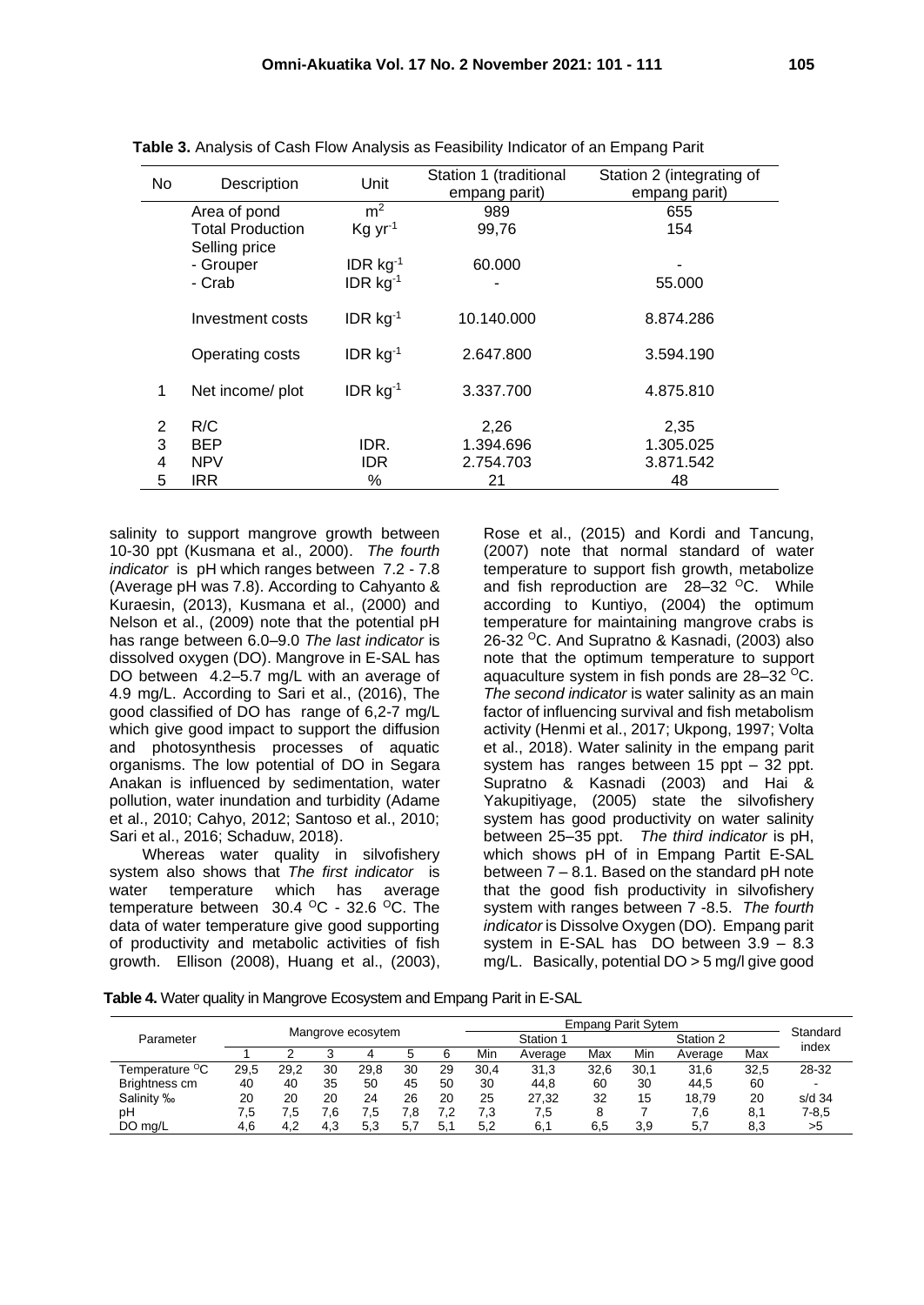| No | Description                              | Unit                   | Station 1 (traditional<br>empang parit) | Station 2 (integrating of<br>empang parit) |
|----|------------------------------------------|------------------------|-----------------------------------------|--------------------------------------------|
|    | Area of pond                             | m <sup>2</sup>         | 989                                     | 655                                        |
|    | <b>Total Production</b><br>Selling price | $Kq yr-1$              | 99,76                                   | 154                                        |
|    | - Grouper                                | IDR $kg^{-1}$          | 60.000                                  |                                            |
|    | - Crab                                   | IDR $kg^{-1}$          |                                         | 55.000                                     |
|    | Investment costs                         | $IDR$ kg <sup>-1</sup> | 10.140.000                              | 8.874.286                                  |
|    | Operating costs                          | $IDR$ kg <sup>-1</sup> | 2.647.800                               | 3.594.190                                  |
| 1  | Net income/ plot                         | IDR $kg^{-1}$          | 3.337.700                               | 4.875.810                                  |
| 2  | R/C                                      |                        | 2,26                                    | 2,35                                       |
| 3  | <b>BEP</b>                               | IDR.                   | 1.394.696                               | 1.305.025                                  |
| 4  | <b>NPV</b>                               | IDR.                   | 2.754.703                               | 3.871.542                                  |
| 5  | <b>IRR</b>                               | %                      | 21                                      | 48                                         |

**Table 3.** Analysis of Cash Flow Analysis as Feasibility Indicator of an Empang Parit

salinity to support mangrove growth between 10-30 ppt (Kusmana et al., 2000). *The fourth indicator* is pH which ranges between 7.2 - 7.8 (Average pH was 7.8). According to Cahyanto & Kuraesin, (2013), Kusmana et al., (2000) and Nelson et al., (2009) note that the potential pH has range between 6.0–9.0 *The last indicator* is dissolved oxygen (DO). Mangrove in E-SAL has DO between 4.2–5.7 mg/L with an average of 4.9 mg/L. According to Sari et al., (2016), The good classified of DO has range of 6,2-7 mg/L which give good impact to support the diffusion and photosynthesis processes of aquatic organisms. The low potential of DO in Segara Anakan is influenced by sedimentation, water pollution, water inundation and turbidity (Adame et al., 2010; Cahyo, 2012; Santoso et al., 2010; Sari et al., 2016; Schaduw, 2018).

Whereas water quality in silvofishery system also shows that *The first indicator* is water temperature which has average temperature between  $30.4 \, \mathrm{^{\circ}C}$  - 32.6  $\mathrm{^{\circ}C}$ . The data of water temperature give good supporting of productivity and metabolic activities of fish growth. Ellison (2008), Huang et al., (2003),

Rose et al., (2015) and Kordi and Tancung, (2007) note that normal standard of water temperature to support fish growth, metabolize and fish reproduction are  $28-32$  <sup>O</sup>C. While according to Kuntiyo, (2004) the optimum temperature for maintaining mangrove crabs is 26-32 <sup>o</sup>C. And Supratno & Kasnadi, (2003) also note that the optimum temperature to support aquaculture system in fish ponds are 28-32 <sup>o</sup>C. *The second indicator* is water salinity as an main factor of influencing survival and fish metabolism activity (Henmi et al., 2017; Ukpong, 1997; Volta et al., 2018). Water salinity in the empang parit system has ranges between 15 ppt – 32 ppt. Supratno & Kasnadi (2003) and Hai & Yakupitiyage, (2005) state the silvofishery system has good productivity on water salinity between 25–35 ppt. *The third indicator* is pH, which shows pH of in Empang Partit E-SAL between 7 – 8.1. Based on the standard pH note that the good fish productivity in silvofishery system with ranges between 7 -8.5. *The fourth indicator* is Dissolve Oxygen (DO). Empang parit system in E-SAL has DO between 3.9 – 8.3 mg/L. Basically, potential DO > 5 mg/l give good

**Table 4.** Water quality in Mangrove Ecosystem and Empang Parit in E-SAL

|                            | Mangrove ecosytem |      |     |      |     | <b>Empang Parit Sytem</b> |      |         |      |           |         |          |           |  |
|----------------------------|-------------------|------|-----|------|-----|---------------------------|------|---------|------|-----------|---------|----------|-----------|--|
| Parameter                  |                   |      |     |      |     | Station 1                 |      |         |      | Station 2 |         | Standard |           |  |
|                            |                   |      |     | 4    |     | 6                         | Min  | Average | Max  | Min       | Average | Max      | index     |  |
| Temperature <sup>o</sup> C | 29.5              | 29.2 | 30  | 29.8 | 30  | 29                        | 30.4 | 31,3    | 32.6 | 30.1      | 31,6    | 32.5     | 28-32     |  |
| Brightness cm              | 40                | 40   | 35  | 50   | 45  | 50                        | 30   | 44,8    | 60   | 30        | 44,5    | 60       |           |  |
| Salinity ‰                 | 20                | 20   | 20  | 24   | 26  | 20                        | 25   | 27.32   | 32   | 15        | 18.79   | 20       | $s/d$ 34  |  |
| рH                         | 7,5               | 7.5  | 7.6 | 7.5  | 7.8 | 7.2                       | 7,3  | 7,5     |      |           | 7.6     | 8.1      | $7 - 8.5$ |  |
| DO ma/L                    | 4,6               | 4,2  | 4,3 | 5,3  | 5,7 | 5.1                       | 5,2  | 6.1     | 6,5  | 3,9       | 5.7     | 8,3      | >5        |  |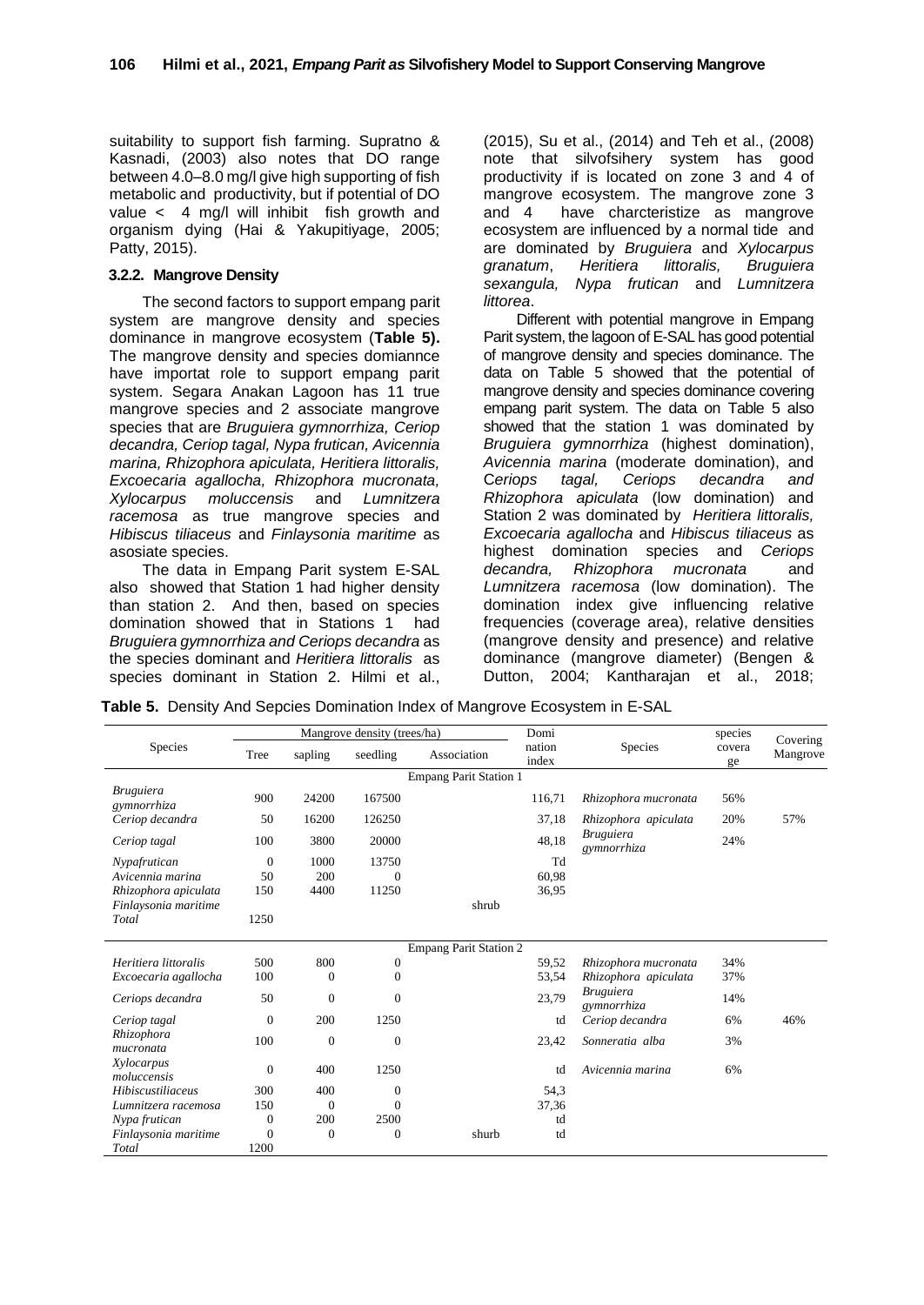suitability to support fish farming. Supratno & Kasnadi, (2003) also notes that DO range between 4.0–8.0 mg/l give high supporting of fish metabolic and productivity, but if potential of DO value < 4 mg/l will inhibit fish growth and organism dying (Hai & Yakupitiyage, 2005; Patty, 2015).

### **3.2.2. Mangrove Density**

The second factors to support empang parit system are mangrove density and species dominance in mangrove ecosystem (**Table 5).** The mangrove density and species domiannce have importat role to support empang parit system. Segara Anakan Lagoon has 11 true mangrove species and 2 associate mangrove species that are *Bruguiera gymnorrhiza, Ceriop decandra, Ceriop tagal, Nypa frutican, Avicennia marina, Rhizophora apiculata, Heritiera littoralis, Excoecaria agallocha, Rhizophora mucronata, Xylocarpus moluccensis* and *Lumnitzera racemosa* as true mangrove species and *Hibiscus tiliaceus* and *Finlaysonia maritime* as asosiate species.

The data in Empang Parit system E-SAL also showed that Station 1 had higher density than station 2. And then, based on species domination showed that in Stations 1 had *Bruguiera gymnorrhiza and Ceriops decandra* as the species dominant and *Heritiera littoralis* as species dominant in Station 2. Hilmi et al.,

(2015), Su et al., (2014) and Teh et al., (2008) note that silvofsihery system has good productivity if is located on zone 3 and 4 of mangrove ecosystem. The mangrove zone 3 and 4 have charcteristize as mangrove ecosystem are influenced by a normal tide and are dominated by *Bruguiera* and *Xylocarpus granatum*, *Heritiera littoralis, Bruguiera sexangula, Nypa frutican* and *Lumnitzera littorea*.

Different with potential mangrove in Empang Parit system, the lagoon of E-SAL has good potential of mangrove density and species dominance. The data on Table 5 showed that the potential of mangrove density and species dominance covering empang parit system. The data on Table 5 also showed that the station 1 was dominated by *Bruguiera gymnorrhiza* (highest domination), *Avicennia marina* (moderate domination), and C*eriops tagal, Ceriops decandra and Rhizophora apiculata* (low domination) and Station 2 was dominated by *Heritiera littoralis, Excoecaria agallocha* and *Hibiscus tiliaceus* as highest domination species and *Ceriops decandra, Rhizophora mucronata* and *Lumnitzera racemosa* (low domination). The domination index give influencing relative frequencies (coverage area), relative densities (mangrove density and presence) and relative dominance (mangrove diameter) (Bengen & Dutton, 2004; Kantharajan et al., 2018;

| Table 5. Density And Sepcies Domination Index of Mangrove Ecosystem in E-SAL |  |  |
|------------------------------------------------------------------------------|--|--|
|------------------------------------------------------------------------------|--|--|

|                                 |                  |              | Mangrove density (trees/ha) |                               | Domi            |                                 | species      | Covering<br>Mangrove |  |  |  |
|---------------------------------|------------------|--------------|-----------------------------|-------------------------------|-----------------|---------------------------------|--------------|----------------------|--|--|--|
| Species                         | Tree             | sapling      | seedling                    | Association                   | nation<br>index | <b>Species</b>                  | covera<br>ge |                      |  |  |  |
| <b>Empang Parit Station 1</b>   |                  |              |                             |                               |                 |                                 |              |                      |  |  |  |
| <i>Bruguiera</i><br>gymnorrhiza | 900              | 24200        | 167500                      |                               | 116.71          | Rhizophora mucronata            | 56%          |                      |  |  |  |
| Ceriop decandra                 | 50               | 16200        | 126250                      |                               | 37,18           | Rhizophora apiculata            | 20%          | 57%                  |  |  |  |
| Ceriop tagal                    | 100              | 3800         | 20000                       |                               | 48,18           | <b>Bruguiera</b><br>gymnorrhiza | 24%          |                      |  |  |  |
| Nypafrutican                    | $\theta$         | 1000         | 13750                       |                               | Td              |                                 |              |                      |  |  |  |
| Avicennia marina                | 50               | 200          | $\theta$                    |                               | 60,98           |                                 |              |                      |  |  |  |
| Rhizophora apiculata            | 150              | 4400         | 11250                       |                               | 36,95           |                                 |              |                      |  |  |  |
| Finlaysonia maritime            |                  |              |                             | shrub                         |                 |                                 |              |                      |  |  |  |
| Total                           | 1250             |              |                             |                               |                 |                                 |              |                      |  |  |  |
|                                 |                  |              |                             | <b>Empang Parit Station 2</b> |                 |                                 |              |                      |  |  |  |
| Heritiera littoralis            | 500              | 800          | $\theta$                    |                               | 59,52           | Rhizophora mucronata            | 34%          |                      |  |  |  |
| Excoecaria agallocha            | 100              | $\theta$     | $\boldsymbol{0}$            |                               | 53,54           | Rhizophora apiculata            | 37%          |                      |  |  |  |
| Ceriops decandra                | 50               | $\mathbf{0}$ | $\mathbf{0}$                |                               | 23,79           | <b>Bruguiera</b><br>gymnorrhiza | 14%          |                      |  |  |  |
| Ceriop tagal                    | $\overline{0}$   | 200          | 1250                        |                               | td              | Ceriop decandra                 | 6%           | 46%                  |  |  |  |
| Rhizophora<br>mucronata         | 100              | $\theta$     | $\overline{0}$              |                               | 23,42           | Sonneratia alba                 | 3%           |                      |  |  |  |
| Xylocarpus<br>moluccensis       | $\boldsymbol{0}$ | 400          | 1250                        |                               | td              | Avicennia marina                | 6%           |                      |  |  |  |
| <b>Hibiscustiliaceus</b>        | 300              | 400          | $\boldsymbol{0}$            |                               | 54,3            |                                 |              |                      |  |  |  |
| Lumnitzera racemosa             | 150              | $\mathbf{0}$ | $\theta$                    |                               | 37,36           |                                 |              |                      |  |  |  |
| Nypa frutican                   | $\overline{0}$   | 200          | 2500                        |                               | td              |                                 |              |                      |  |  |  |
| Finlaysonia maritime            | 0                | $\mathbf{0}$ | $\overline{0}$              | shurb                         | td              |                                 |              |                      |  |  |  |
| Total                           | 1200             |              |                             |                               |                 |                                 |              |                      |  |  |  |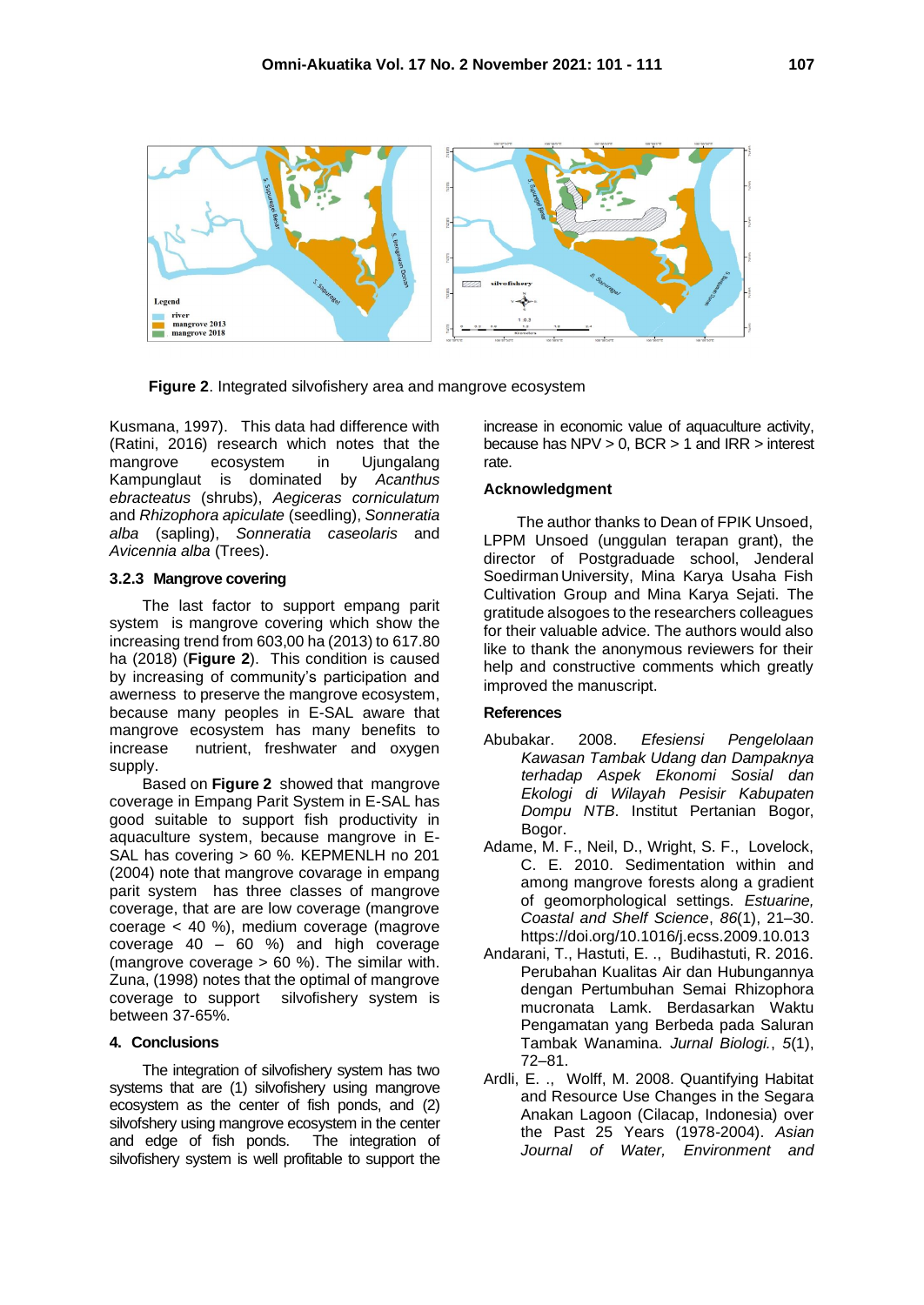

 **Figure 2**. Integrated silvofishery area and mangrove ecosystem

Kusmana, 1997). This data had difference with (Ratini, 2016) research which notes that the mangrove ecosystem in Ujungalang Kampunglaut is dominated by *Acanthus ebracteatus* (shrubs), *Aegiceras corniculatum* and *Rhizophora apiculate* (seedling), *Sonneratia alba* (sapling), *Sonneratia caseolaris* and *Avicennia alba* (Trees).

### **3.2.3 Mangrove covering**

The last factor to support empang parit system is mangrove covering which show the increasing trend from 603,00 ha (2013) to 617.80 ha (2018) (**Figure 2**). This condition is caused by increasing of community's participation and awerness to preserve the mangrove ecosystem, because many peoples in E-SAL aware that mangrove ecosystem has many benefits to increase nutrient, freshwater and oxygen supply.

Based on **Figure 2** showed that mangrove coverage in Empang Parit System in E-SAL has good suitable to support fish productivity in aquaculture system, because mangrove in E-SAL has covering > 60 %. KEPMENLH no 201 (2004) note that mangrove covarage in empang parit system has three classes of mangrove coverage, that are are low coverage (mangrove coerage < 40 %), medium coverage (magrove coverage 40 – 60 %) and high coverage (mangrove coverage > 60 %). The similar with. Zuna, (1998) notes that the optimal of mangrove coverage to support silvofishery system is between 37-65%.

## **4. Conclusions**

The integration of silvofishery system has two systems that are (1) silvofishery using mangrove ecosystem as the center of fish ponds, and (2) silvofshery using mangrove ecosystem in the center and edge of fish ponds. The integration of silvofishery system is well profitable to support the

increase in economic value of aquaculture activity, because has NPV > 0, BCR > 1 and IRR > interest rate.

#### **Acknowledgment**

The author thanks to Dean of FPIK Unsoed, LPPM Unsoed (unggulan terapan grant), the director of Postgraduade school, Jenderal Soedirman University, Mina Karya Usaha Fish Cultivation Group and Mina Karya Sejati. The gratitude alsogoes to theresearchers colleagues for their valuable advice. The authors would also like to thank the anonymous reviewers for their help and constructive comments which greatly improved the manuscript.

## **References**

- Abubakar. 2008. *Efesiensi Pengelolaan Kawasan Tambak Udang dan Dampaknya terhadap Aspek Ekonomi Sosial dan Ekologi di Wilayah Pesisir Kabupaten Dompu NTB*. Institut Pertanian Bogor, Bogor.
- Adame, M. F., Neil, D., Wright, S. F., Lovelock, C. E. 2010. Sedimentation within and among mangrove forests along a gradient of geomorphological settings. *Estuarine, Coastal and Shelf Science*, *86*(1), 21–30. https://doi.org/10.1016/j.ecss.2009.10.013
- Andarani, T., Hastuti, E. ., Budihastuti, R. 2016. Perubahan Kualitas Air dan Hubungannya dengan Pertumbuhan Semai Rhizophora mucronata Lamk. Berdasarkan Waktu Pengamatan yang Berbeda pada Saluran Tambak Wanamina. *Jurnal Biologi.*, *5*(1), 72–81.
- Ardli, E. ., Wolff, M. 2008. Quantifying Habitat and Resource Use Changes in the Segara Anakan Lagoon (Cilacap, Indonesia) over the Past 25 Years (1978-2004). *Asian Journal of Water, Environment and*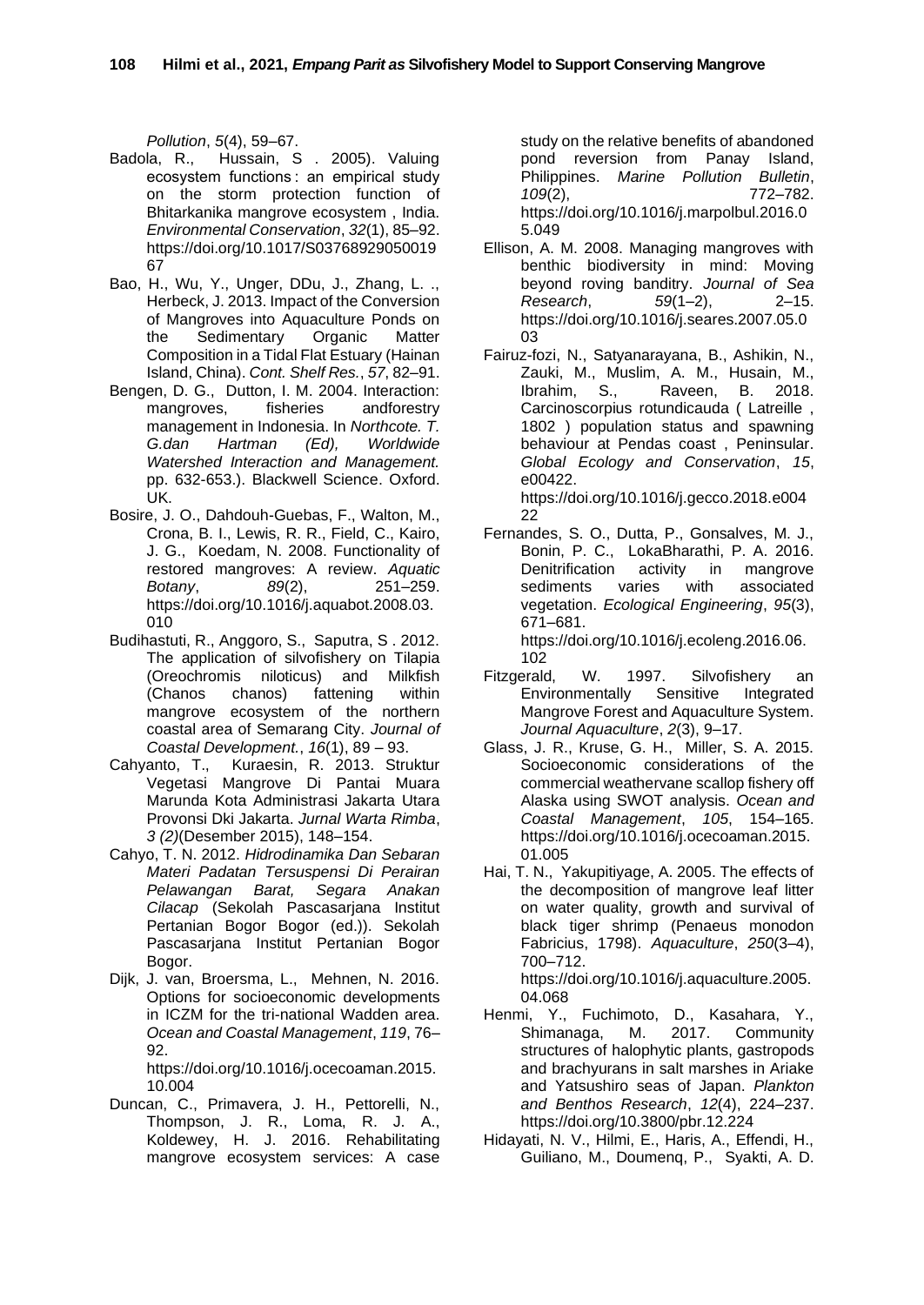*Pollution*, *5*(4), 59–67.

- Badola, R., Hussain, S . 2005). Valuing ecosystem functions : an empirical study on the storm protection function of Bhitarkanika mangrove ecosystem , India. *Environmental Conservation*, *32*(1), 85–92. https://doi.org/10.1017/S03768929050019 67
- Bao, H., Wu, Y., Unger, DDu, J., Zhang, L. ., Herbeck, J. 2013. Impact of the Conversion of Mangroves into Aquaculture Ponds on the Sedimentary Organic Matter Composition in a Tidal Flat Estuary (Hainan Island, China). *Cont. Shelf Res.*, *57*, 82–91.
- Bengen, D. G., Dutton, I. M. 2004. Interaction: mangroves, fisheries andforestry management in Indonesia. In *Northcote. T. G.dan Hartman (Ed), Worldwide Watershed Interaction and Management.*  pp. 632-653.). Blackwell Science. Oxford. UK.
- Bosire, J. O., Dahdouh-Guebas, F., Walton, M., Crona, B. I., Lewis, R. R., Field, C., Kairo, J. G., Koedam, N. 2008. Functionality of restored mangroves: A review. *Aquatic Botany*, *89*(2), 251–259. https://doi.org/10.1016/j.aquabot.2008.03. 010
- Budihastuti, R., Anggoro, S., Saputra, S . 2012. The application of silvofishery on Tilapia (Oreochromis niloticus) and Milkfish (Chanos chanos) fattening within mangrove ecosystem of the northern coastal area of Semarang City. *Journal of Coastal Development.*, *16*(1), 89 – 93.
- Cahyanto, T., Kuraesin, R. 2013. Struktur Vegetasi Mangrove Di Pantai Muara Marunda Kota Administrasi Jakarta Utara Provonsi Dki Jakarta. *Jurnal Warta Rimba*, *3 (2)*(Desember 2015), 148–154.
- Cahyo, T. N. 2012. *Hidrodinamika Dan Sebaran Materi Padatan Tersuspensi Di Perairan Pelawangan Barat, Segara Anakan Cilacap* (Sekolah Pascasarjana Institut Pertanian Bogor Bogor (ed.)). Sekolah Pascasarjana Institut Pertanian Bogor Bogor.
- Dijk, J. van, Broersma, L., Mehnen, N. 2016. Options for socioeconomic developments in ICZM for the tri-national Wadden area. *Ocean and Coastal Management*, *119*, 76– 92.

https://doi.org/10.1016/j.ocecoaman.2015. 10.004

Duncan, C., Primavera, J. H., Pettorelli, N., Thompson, J. R., Loma, R. J. A., Koldewey, H. J. 2016. Rehabilitating mangrove ecosystem services: A case

study on the relative benefits of abandoned pond reversion from Panay Island, Philippines. *Marine Pollution Bulletin*, *109*(2), 772–782. https://doi.org/10.1016/j.marpolbul.2016.0 5.049

- Ellison, A. M. 2008. Managing mangroves with benthic biodiversity in mind: Moving beyond roving banditry. *Journal of Sea Research*, *59*(1–2), 2–15. https://doi.org/10.1016/j.seares.2007.05.0 03
- Fairuz-fozi, N., Satyanarayana, B., Ashikin, N., Zauki, M., Muslim, A. M., Husain, M., Ibrahim, S., Raveen, B. 2018. Carcinoscorpius rotundicauda ( Latreille , 1802 ) population status and spawning behaviour at Pendas coast , Peninsular. *Global Ecology and Conservation*, *15*, e00422.

https://doi.org/10.1016/j.gecco.2018.e004 22

Fernandes, S. O., Dutta, P., Gonsalves, M. J., Bonin, P. C., LokaBharathi, P. A. 2016. Denitrification activity in mangrove sediments varies with associated vegetation. *Ecological Engineering*, *95*(3), 671–681. https://doi.org/10.1016/j.ecoleng.2016.06.

102

- Fitzgerald, W. 1997. Silvofishery an Environmentally Sensitive Integrated Mangrove Forest and Aquaculture System. *Journal Aquaculture*, *2*(3), 9–17.
- Glass, J. R., Kruse, G. H., Miller, S. A. 2015. Socioeconomic considerations of the commercial weathervane scallop fishery off Alaska using SWOT analysis. *Ocean and Coastal Management*, *105*, 154–165. https://doi.org/10.1016/j.ocecoaman.2015. 01.005
- Hai, T. N., Yakupitiyage, A. 2005. The effects of the decomposition of mangrove leaf litter on water quality, growth and survival of black tiger shrimp (Penaeus monodon Fabricius, 1798). *Aquaculture*, *250*(3–4), 700–712.

https://doi.org/10.1016/j.aquaculture.2005. 04.068

- Henmi, Y., Fuchimoto, D., Kasahara, Y.,<br>Shimanaga, M. 2017. Community Shimanaga, M. 2017. Community structures of halophytic plants, gastropods and brachyurans in salt marshes in Ariake and Yatsushiro seas of Japan. *Plankton and Benthos Research*, *12*(4), 224–237. https://doi.org/10.3800/pbr.12.224
- Hidayati, N. V., Hilmi, E., Haris, A., Effendi, H., Guiliano, M., Doumenq, P., Syakti, A. D.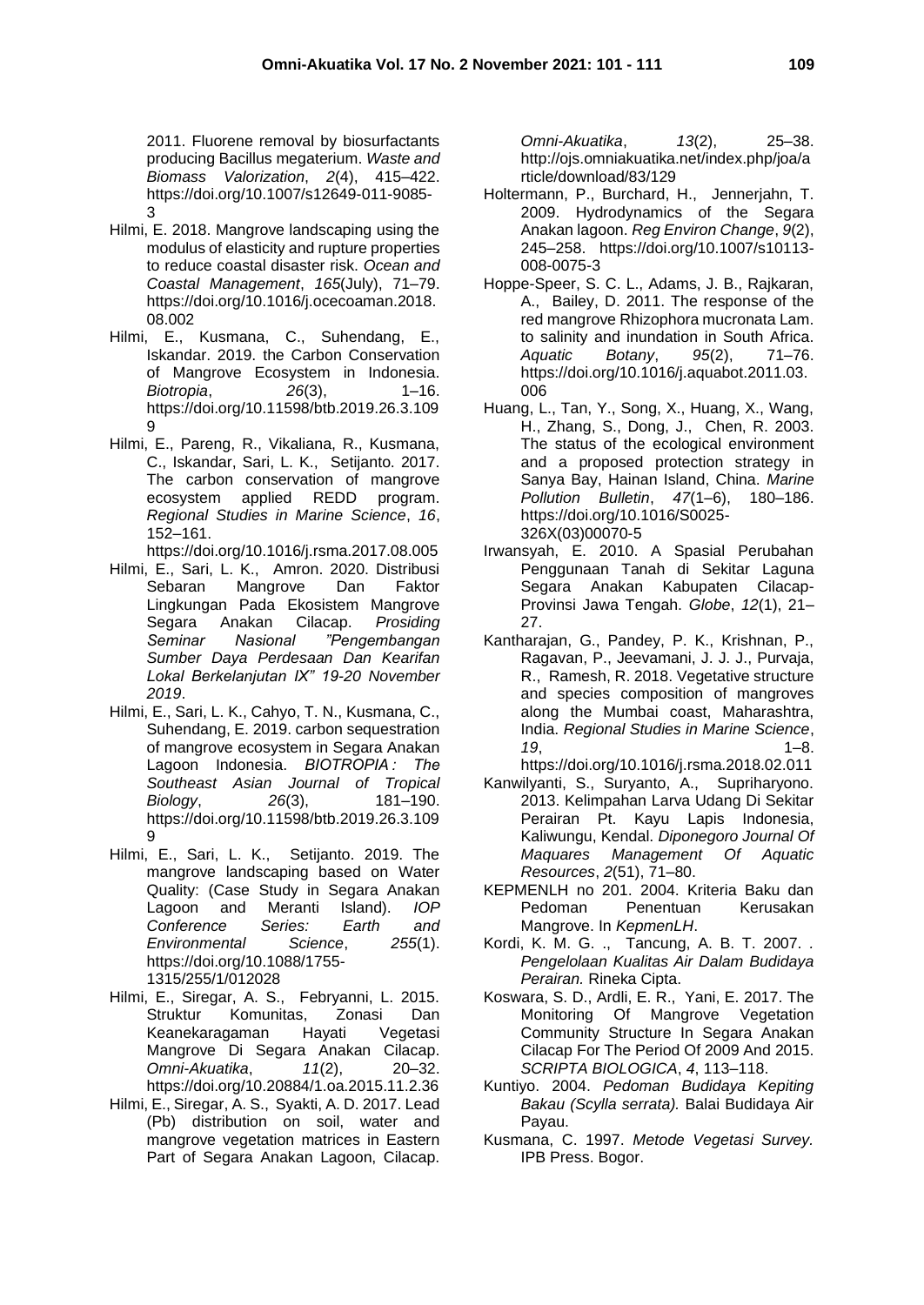2011. Fluorene removal by biosurfactants producing Bacillus megaterium. *Waste and Biomass Valorization*, *2*(4), 415–422. https://doi.org/10.1007/s12649-011-9085- 3

- Hilmi, E. 2018. Mangrove landscaping using the modulus of elasticity and rupture properties to reduce coastal disaster risk. *Ocean and Coastal Management*, *165*(July), 71–79. https://doi.org/10.1016/j.ocecoaman.2018. 08.002
- Hilmi, E., Kusmana, C., Suhendang, E., Iskandar. 2019. the Carbon Conservation of Mangrove Ecosystem in Indonesia. *Biotropia*, *26*(3), 1–16. https://doi.org/10.11598/btb.2019.26.3.109 9
- Hilmi, E., Pareng, R., Vikaliana, R., Kusmana, C., Iskandar, Sari, L. K., Setijanto. 2017. The carbon conservation of mangrove ecosystem applied REDD program. *Regional Studies in Marine Science*, *16*, 152–161.
- https://doi.org/10.1016/j.rsma.2017.08.005 Hilmi, E., Sari, L. K., Amron. 2020. Distribusi Sebaran Mangrove Dan Faktor
- Lingkungan Pada Ekosistem Mangrove Segara Anakan Cilacap. *Prosiding Seminar Nasional "Pengembangan Sumber Daya Perdesaan Dan Kearifan Lokal Berkelanjutan IX" 19-20 November 2019*.
- Hilmi, E., Sari, L. K., Cahyo, T. N., Kusmana, C., Suhendang, E. 2019. carbon sequestration of mangrove ecosystem in Segara Anakan Lagoon Indonesia. *BIOTROPIA : The Southeast Asian Journal of Tropical Biology*, *26*(3), 181–190. https://doi.org/10.11598/btb.2019.26.3.109 9
- Hilmi, E., Sari, L. K., Setijanto. 2019. The mangrove landscaping based on Water Quality: (Case Study in Segara Anakan Lagoon and Meranti Island). *IOP Conference Series: Earth and Environmental Science*, *255*(1). https://doi.org/10.1088/1755- 1315/255/1/012028
- Hilmi, E., Siregar, A. S., Febryanni, L. 2015. Struktur Komunitas, Zonasi Dan Keanekaragaman Hayati Vegetasi Mangrove Di Segara Anakan Cilacap. *Omni-Akuatika*, *11*(2), 20–32. https://doi.org/10.20884/1.oa.2015.11.2.36
- Hilmi, E., Siregar, A. S., Syakti, A. D. 2017. Lead (Pb) distribution on soil, water and mangrove vegetation matrices in Eastern Part of Segara Anakan Lagoon, Cilacap.

*Omni-Akuatika*, *13*(2), 25–38. http://ojs.omniakuatika.net/index.php/joa/a rticle/download/83/129

- Holtermann, P., Burchard, H., Jennerjahn, T. 2009. Hydrodynamics of the Segara Anakan lagoon. *Reg Environ Change*, *9*(2), 245–258. https://doi.org/10.1007/s10113- 008-0075-3
- Hoppe-Speer, S. C. L., Adams, J. B., Rajkaran, A., Bailey, D. 2011. The response of the red mangrove Rhizophora mucronata Lam. to salinity and inundation in South Africa. *Aquatic Botany*, *95*(2), 71–76. https://doi.org/10.1016/j.aquabot.2011.03. 006
- Huang, L., Tan, Y., Song, X., Huang, X., Wang, H., Zhang, S., Dong, J., Chen, R. 2003. The status of the ecological environment and a proposed protection strategy in Sanya Bay, Hainan Island, China. *Marine Pollution Bulletin*, *47*(1–6), 180–186. https://doi.org/10.1016/S0025- 326X(03)00070-5
- Irwansyah, E. 2010. A Spasial Perubahan Penggunaan Tanah di Sekitar Laguna Segara Anakan Kabupaten Cilacap-Provinsi Jawa Tengah. *Globe*, *12*(1), 21– 27.
- Kantharajan, G., Pandey, P. K., Krishnan, P., Ragavan, P., Jeevamani, J. J. J., Purvaja, R., Ramesh, R. 2018. Vegetative structure and species composition of mangroves along the Mumbai coast, Maharashtra, India. *Regional Studies in Marine Science*, *19*, 1–8.
	- https://doi.org/10.1016/j.rsma.2018.02.011
- Kanwilyanti, S., Suryanto, A., Supriharyono. 2013. Kelimpahan Larva Udang Di Sekitar Perairan Pt. Kayu Lapis Indonesia, Kaliwungu, Kendal. *Diponegoro Journal Of Maquares Management Of Aquatic Resources*, *2*(51), 71–80.
- KEPMENLH no 201. 2004. Kriteria Baku dan Pedoman Penentuan Kerusakan Mangrove. In *KepmenLH*.
- Kordi, K. M. G. ., Tancung, A. B. T. 2007. *. Pengelolaan Kualitas Air Dalam Budidaya Perairan.* Rineka Cipta.
- Koswara, S. D., Ardli, E. R., Yani, E. 2017. The Monitoring Of Mangrove Vegetation Community Structure In Segara Anakan Cilacap For The Period Of 2009 And 2015. *SCRIPTA BIOLOGICA*, *4*, 113–118.
- Kuntiyo. 2004. *Pedoman Budidaya Kepiting Bakau (Scylla serrata).* Balai Budidaya Air Payau.
- Kusmana, C. 1997. *Metode Vegetasi Survey.* IPB Press. Bogor.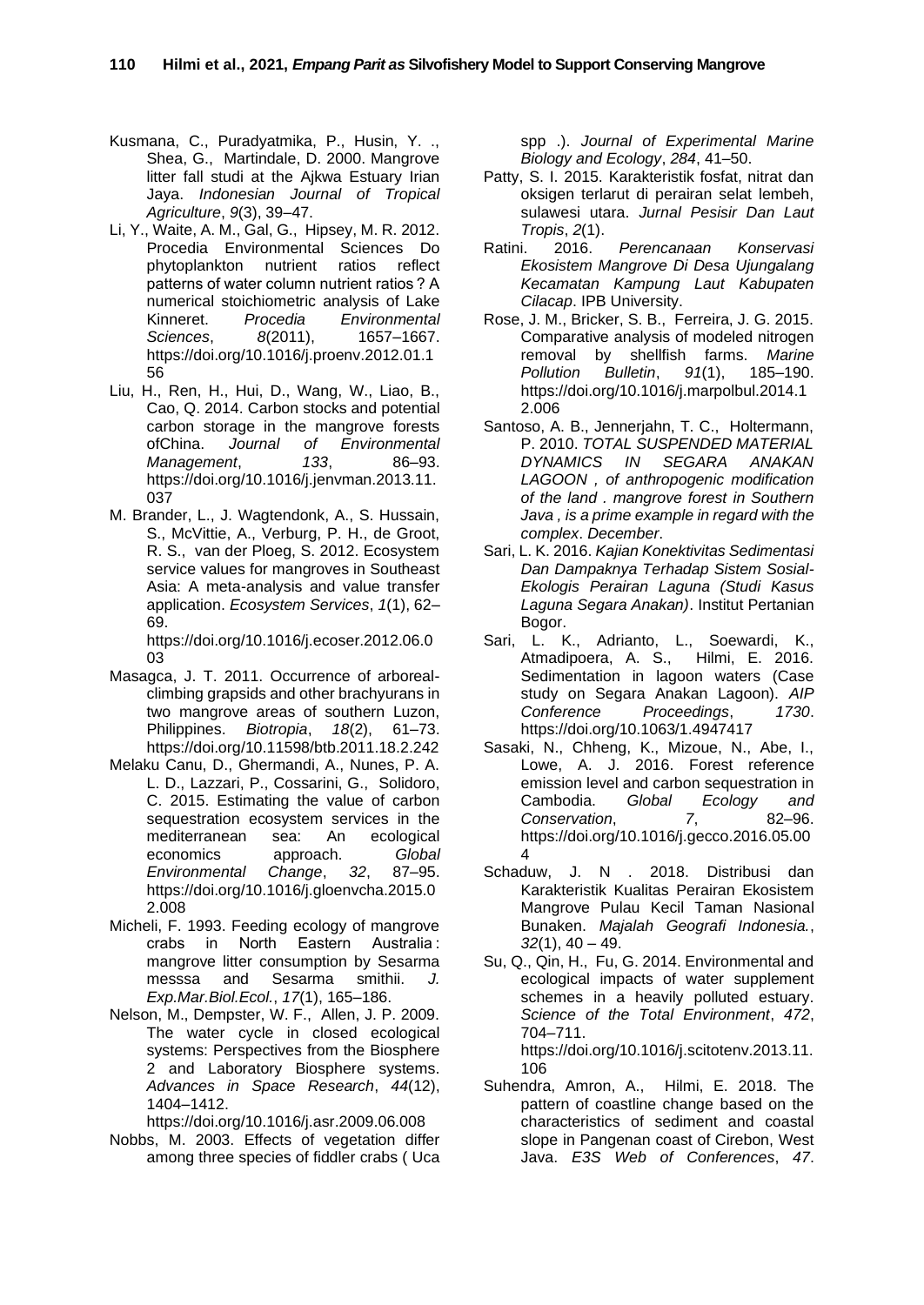- Kusmana, C., Puradyatmika, P., Husin, Y. ., Shea, G., Martindale, D. 2000. Mangrove litter fall studi at the Ajkwa Estuary Irian Jaya. *Indonesian Journal of Tropical Agriculture*, *9*(3), 39–47.
- Li, Y., Waite, A. M., Gal, G., Hipsey, M. R. 2012. Procedia Environmental Sciences Do phytoplankton nutrient ratios reflect patterns of water column nutrient ratios ? A numerical stoichiometric analysis of Lake Kinneret. *Procedia Environmental Sciences*, *8*(2011), 1657–1667. https://doi.org/10.1016/j.proenv.2012.01.1 56
- Liu, H., Ren, H., Hui, D., Wang, W., Liao, B., Cao, Q. 2014. Carbon stocks and potential carbon storage in the mangrove forests ofChina. *Journal of Environmental Management*, *133*, 86–93. https://doi.org/10.1016/j.jenvman.2013.11. 037
- M. Brander, L., J. Wagtendonk, A., S. Hussain, S., McVittie, A., Verburg, P. H., de Groot, R. S., van der Ploeg, S. 2012. Ecosystem service values for mangroves in Southeast Asia: A meta-analysis and value transfer application. *Ecosystem Services*, *1*(1), 62– 69.

https://doi.org/10.1016/j.ecoser.2012.06.0 03

- Masagca, J. T. 2011. Occurrence of arborealclimbing grapsids and other brachyurans in two mangrove areas of southern Luzon, Philippines. *Biotropia*, *18*(2), 61–73. https://doi.org/10.11598/btb.2011.18.2.242
- Melaku Canu, D., Ghermandi, A., Nunes, P. A. L. D., Lazzari, P., Cossarini, G., Solidoro, C. 2015. Estimating the value of carbon sequestration ecosystem services in the mediterranean sea: An ecological economics approach. *Global Environmental Change*, 32, https://doi.org/10.1016/j.gloenvcha.2015.0 2.008
- Micheli, F. 1993. Feeding ecology of mangrove crabs in North Eastern Australia : mangrove litter consumption by Sesarma messsa and Sesarma smithii. *J. Exp.Mar.Biol.Ecol.*, *17*(1), 165–186.
- Nelson, M., Dempster, W. F., Allen, J. P. 2009. The water cycle in closed ecological systems: Perspectives from the Biosphere 2 and Laboratory Biosphere systems. *Advances in Space Research*, *44*(12), 1404–1412.

https://doi.org/10.1016/j.asr.2009.06.008

Nobbs, M. 2003. Effects of vegetation differ among three species of fiddler crabs ( Uca spp .). *Journal of Experimental Marine Biology and Ecology*, *284*, 41–50.

- Patty, S. I. 2015. Karakteristik fosfat, nitrat dan oksigen terlarut di perairan selat lembeh, sulawesi utara. *Jurnal Pesisir Dan Laut Tropis*, *2*(1).
- Ratini. 2016. *Perencanaan Konservasi Ekosistem Mangrove Di Desa Ujungalang Kecamatan Kampung Laut Kabupaten Cilacap*. IPB University.
- Rose, J. M., Bricker, S. B., Ferreira, J. G. 2015. Comparative analysis of modeled nitrogen removal by shellfish farms. *Marine Pollution Bulletin*, *91*(1), 185–190. https://doi.org/10.1016/j.marpolbul.2014.1 2.006
- Santoso, A. B., Jennerjahn, T. C., Holtermann, P. 2010. *TOTAL SUSPENDED MATERIAL DYNAMICS IN SEGARA ANAKAN LAGOON , of anthropogenic modification of the land . mangrove forest in Southern Java , is a prime example in regard with the complex*. *December*.
- Sari, L. K. 2016. *Kajian Konektivitas Sedimentasi Dan Dampaknya Terhadap Sistem Sosial-Ekologis Perairan Laguna (Studi Kasus Laguna Segara Anakan)*. Institut Pertanian Bogor.
- Sari, L. K., Adrianto, L., Soewardi, K., Atmadipoera, A. S., Hilmi, E. 2016. Sedimentation in lagoon waters (Case study on Segara Anakan Lagoon). *AIP Conference Proceedings*, *1730*. https://doi.org/10.1063/1.4947417
- Sasaki, N., Chheng, K., Mizoue, N., Abe, I., Lowe, A. J. 2016. Forest reference emission level and carbon sequestration in Cambodia. *Global Ecology and Conservation*, *7*, 82–96. https://doi.org/10.1016/j.gecco.2016.05.00 4
- Schaduw, J. N . 2018. Distribusi dan Karakteristik Kualitas Perairan Ekosistem Mangrove Pulau Kecil Taman Nasional Bunaken. *Majalah Geografi Indonesia.*, *32*(1), 40 – 49.
- Su, Q., Qin, H., Fu, G. 2014. Environmental and ecological impacts of water supplement schemes in a heavily polluted estuary. *Science of the Total Environment*, *472*, 704–711. https://doi.org/10.1016/j.scitotenv.2013.11. 106
- Suhendra, Amron, A., Hilmi, E. 2018. The pattern of coastline change based on the characteristics of sediment and coastal slope in Pangenan coast of Cirebon, West Java. *E3S Web of Conferences*, *47*.